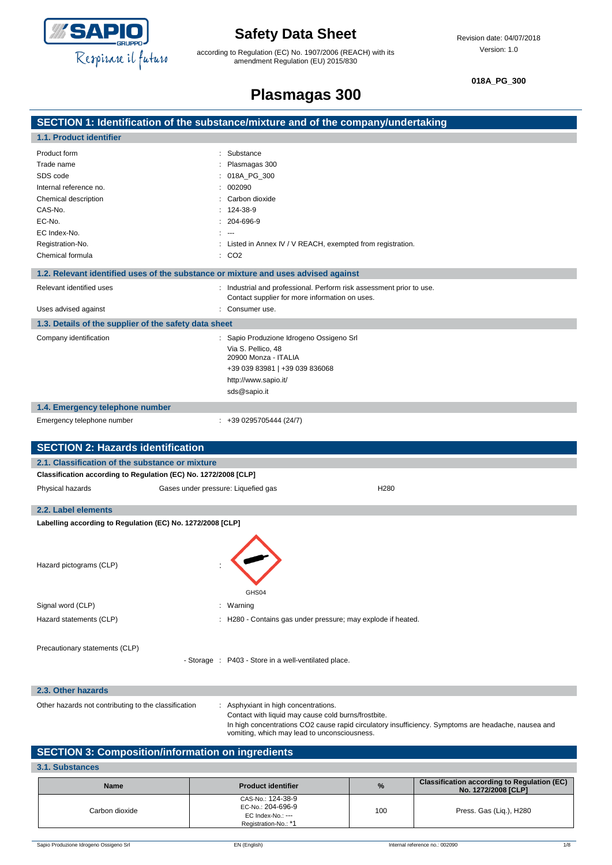

 $\overline{\phantom{a}}$ 

## **Safety Data Sheet**

according to Regulation (EC) No. 1907/2006 (REACH) with its amendment Regulation (EU) 2015/830

**018A\_PG\_300**

# **Plasmagas 300**

|                                                                                    | SECTION 1: Identification of the substance/mixture and of the company/undertaking                                                                   |
|------------------------------------------------------------------------------------|-----------------------------------------------------------------------------------------------------------------------------------------------------|
| 1.1. Product identifier                                                            |                                                                                                                                                     |
| Product form                                                                       | Substance                                                                                                                                           |
| Trade name                                                                         | Plasmagas 300                                                                                                                                       |
| SDS code                                                                           | 018A_PG_300                                                                                                                                         |
| Internal reference no.                                                             | 002090                                                                                                                                              |
| Chemical description                                                               | Carbon dioxide                                                                                                                                      |
| CAS-No.                                                                            | 124-38-9                                                                                                                                            |
| EC-No.                                                                             | 204-696-9                                                                                                                                           |
| EC Index-No.                                                                       | $\sim$                                                                                                                                              |
| Registration-No.                                                                   | Listed in Annex IV / V REACH, exempted from registration.                                                                                           |
| Chemical formula                                                                   | : CO2                                                                                                                                               |
| 1.2. Relevant identified uses of the substance or mixture and uses advised against |                                                                                                                                                     |
| Relevant identified uses                                                           | : Industrial and professional. Perform risk assessment prior to use.                                                                                |
|                                                                                    | Contact supplier for more information on uses.                                                                                                      |
| Uses advised against                                                               | Consumer use.                                                                                                                                       |
| 1.3. Details of the supplier of the safety data sheet                              |                                                                                                                                                     |
| Company identification                                                             | : Sapio Produzione Idrogeno Ossigeno Srl                                                                                                            |
|                                                                                    | Via S. Pellico, 48                                                                                                                                  |
|                                                                                    | 20900 Monza - ITALIA                                                                                                                                |
|                                                                                    | +39 039 83981   +39 039 836068                                                                                                                      |
|                                                                                    | http://www.sapio.it/                                                                                                                                |
|                                                                                    | sds@sapio.it                                                                                                                                        |
| 1.4. Emergency telephone number                                                    |                                                                                                                                                     |
| Emergency telephone number                                                         | $: +390295705444(24/7)$                                                                                                                             |
|                                                                                    |                                                                                                                                                     |
|                                                                                    |                                                                                                                                                     |
| <b>SECTION 2: Hazards identification</b>                                           |                                                                                                                                                     |
| 2.1. Classification of the substance or mixture                                    |                                                                                                                                                     |
| Classification according to Regulation (EC) No. 1272/2008 [CLP]                    |                                                                                                                                                     |
| Physical hazards                                                                   | H280<br>Gases under pressure: Liquefied gas                                                                                                         |
| 2.2. Label elements                                                                |                                                                                                                                                     |
|                                                                                    |                                                                                                                                                     |
| Labelling according to Regulation (EC) No. 1272/2008 [CLP]                         |                                                                                                                                                     |
|                                                                                    |                                                                                                                                                     |
|                                                                                    |                                                                                                                                                     |
| Hazard pictograms (CLP)                                                            |                                                                                                                                                     |
|                                                                                    |                                                                                                                                                     |
|                                                                                    | GHS04                                                                                                                                               |
| Signal word (CLP)                                                                  | : Warning                                                                                                                                           |
|                                                                                    |                                                                                                                                                     |
| Hazard statements (CLP)                                                            | H280 - Contains gas under pressure; may explode if heated.                                                                                          |
|                                                                                    |                                                                                                                                                     |
| Precautionary statements (CLP)                                                     |                                                                                                                                                     |
|                                                                                    | - Storage : P403 - Store in a well-ventilated place.                                                                                                |
|                                                                                    |                                                                                                                                                     |
| 2.3. Other hazards                                                                 |                                                                                                                                                     |
| Other hazards not contributing to the classification                               | : Asphyxiant in high concentrations.                                                                                                                |
|                                                                                    | Contact with liquid may cause cold burns/frostbite.                                                                                                 |
|                                                                                    | In high concentrations CO2 cause rapid circulatory insufficiency. Symptoms are headache, nausea and<br>vomiting, which may lead to unconsciousness. |

### **SECTION 3: Composition/information on ingredients**

| 3.1. Substances |                                                                                     |               |                                                                           |
|-----------------|-------------------------------------------------------------------------------------|---------------|---------------------------------------------------------------------------|
| <b>Name</b>     | <b>Product identifier</b>                                                           | $\frac{9}{6}$ | <b>Classification according to Regulation (EC)</b><br>No. 1272/2008 [CLP] |
| Carbon dioxide  | CAS-No.: 124-38-9<br>EC-No.: 204-696-9<br>EC Index-No.: ---<br>Registration-No.: *1 | 100           | Press. Gas (Lig.), H280                                                   |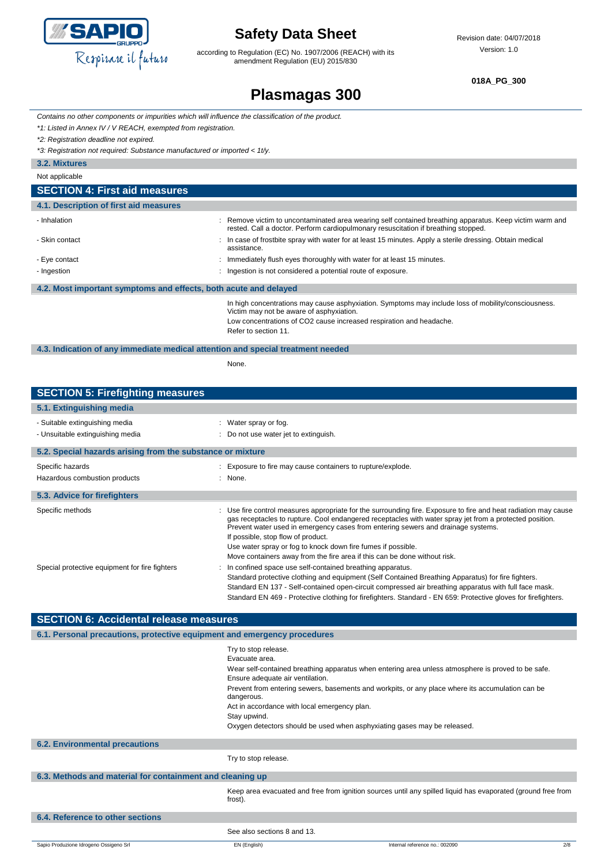

according to Regulation (EC) No. 1907/2006 (REACH) with its amendment Regulation (EU) 2015/830

**018A\_PG\_300**

## **Plasmagas 300**

*Contains no other components or impurities which will influence the classification of the product.*

*\*1: Listed in Annex IV / V REACH, exempted from registration.*

*\*2: Registration deadline not expired.*

*\*3: Registration not required: Substance manufactured or imported < 1t/y.*

**3.2. Mixtures**

| Not applicable                                                   |                                                                                                                                                                                                                                                |  |
|------------------------------------------------------------------|------------------------------------------------------------------------------------------------------------------------------------------------------------------------------------------------------------------------------------------------|--|
| <b>SECTION 4: First aid measures</b>                             |                                                                                                                                                                                                                                                |  |
| 4.1. Description of first aid measures                           |                                                                                                                                                                                                                                                |  |
| - Inhalation                                                     | : Remove victim to uncontaminated area wearing self contained breathing apparatus. Keep victim warm and<br>rested. Call a doctor. Perform cardiopulmonary resuscitation if breathing stopped.                                                  |  |
| - Skin contact                                                   | : In case of frostbite spray with water for at least 15 minutes. Apply a sterile dressing. Obtain medical<br>assistance.                                                                                                                       |  |
| - Eye contact                                                    | : Immediately flush eyes thoroughly with water for at least 15 minutes.                                                                                                                                                                        |  |
| - Ingestion                                                      | : Ingestion is not considered a potential route of exposure.                                                                                                                                                                                   |  |
| 4.2. Most important symptoms and effects, both acute and delayed |                                                                                                                                                                                                                                                |  |
|                                                                  | In high concentrations may cause asphyxiation. Symptoms may include loss of mobility/consciousness.<br>Victim may not be aware of asphyxiation.<br>Low concentrations of CO2 cause increased respiration and headache.<br>Refer to section 11. |  |

**4.3. Indication of any immediate medical attention and special treatment needed**

None.

| <b>SECTION 5: Firefighting measures</b>                            |                                                                                                                                                                                                                                                                                                                                                                                                                                                                                                   |
|--------------------------------------------------------------------|---------------------------------------------------------------------------------------------------------------------------------------------------------------------------------------------------------------------------------------------------------------------------------------------------------------------------------------------------------------------------------------------------------------------------------------------------------------------------------------------------|
| 5.1. Extinguishing media                                           |                                                                                                                                                                                                                                                                                                                                                                                                                                                                                                   |
| - Suitable extinguishing media<br>- Unsuitable extinguishing media | : Water spray or fog.<br>: Do not use water jet to extinguish.                                                                                                                                                                                                                                                                                                                                                                                                                                    |
| 5.2. Special hazards arising from the substance or mixture         |                                                                                                                                                                                                                                                                                                                                                                                                                                                                                                   |
| Specific hazards<br>Hazardous combustion products                  | : Exposure to fire may cause containers to rupture/explode.<br>: None.                                                                                                                                                                                                                                                                                                                                                                                                                            |
| 5.3. Advice for firefighters                                       |                                                                                                                                                                                                                                                                                                                                                                                                                                                                                                   |
| Specific methods                                                   | : Use fire control measures appropriate for the surrounding fire. Exposure to fire and heat radiation may cause<br>gas receptacles to rupture. Cool endangered receptacles with water spray jet from a protected position.<br>Prevent water used in emergency cases from entering sewers and drainage systems.<br>If possible, stop flow of product.<br>Use water spray or fog to knock down fire fumes if possible.<br>Move containers away from the fire area if this can be done without risk. |
| Special protective equipment for fire fighters                     | : In confined space use self-contained breathing apparatus.<br>Standard protective clothing and equipment (Self Contained Breathing Apparatus) for fire fighters.<br>Standard EN 137 - Self-contained open-circuit compressed air breathing apparatus with full face mask.<br>Standard EN 469 - Protective clothing for firefighters. Standard - EN 659: Protective gloves for firefighters.                                                                                                      |
| <b>SECTION 6: Accidental release measures</b>                      |                                                                                                                                                                                                                                                                                                                                                                                                                                                                                                   |

| 6.1. Personal precautions, protective equipment and emergency procedures |                                                                                                                                                                                                                                      |                                                                                                                                                                                                        |
|--------------------------------------------------------------------------|--------------------------------------------------------------------------------------------------------------------------------------------------------------------------------------------------------------------------------------|--------------------------------------------------------------------------------------------------------------------------------------------------------------------------------------------------------|
|                                                                          | Try to stop release.<br>Evacuate area.<br>Ensure adequate air ventilation.<br>dangerous.<br>Act in accordance with local emergency plan.<br>Stay upwind.<br>Oxygen detectors should be used when asphyxiating gases may be released. | Wear self-contained breathing apparatus when entering area unless atmosphere is proved to be safe.<br>Prevent from entering sewers, basements and workpits, or any place where its accumulation can be |
| <b>6.2. Environmental precautions</b>                                    |                                                                                                                                                                                                                                      |                                                                                                                                                                                                        |
|                                                                          | Try to stop release.                                                                                                                                                                                                                 |                                                                                                                                                                                                        |
| 6.3. Methods and material for containment and cleaning up                |                                                                                                                                                                                                                                      |                                                                                                                                                                                                        |
|                                                                          | frost).                                                                                                                                                                                                                              | Keep area evacuated and free from ignition sources until any spilled liquid has evaporated (ground free from                                                                                           |
| 6.4. Reference to other sections                                         |                                                                                                                                                                                                                                      |                                                                                                                                                                                                        |
|                                                                          | See also sections 8 and 13.                                                                                                                                                                                                          |                                                                                                                                                                                                        |
| Sapio Produzione Idrogeno Ossigeno Srl                                   | EN (English)                                                                                                                                                                                                                         | Internal reference no.: 002090<br>2/8                                                                                                                                                                  |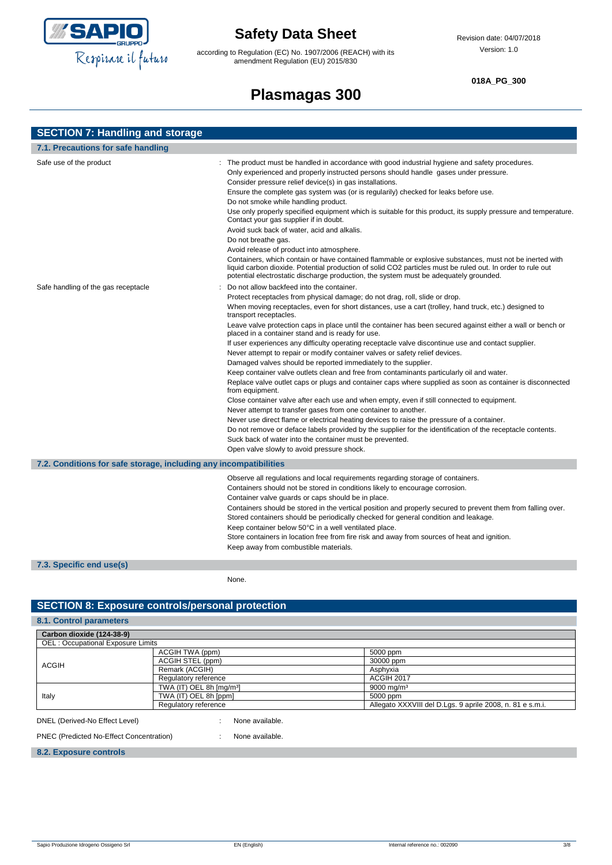

according to Regulation (EC) No. 1907/2006 (REACH) with its amendment Regulation (EU) 2015/830

#### **018A\_PG\_300**

## **Plasmagas 300**

| <b>SECTION 7: Handling and storage</b>                            |                                                                                                                                                                                                                                                                                                                                                                                                                                                                                                                                                                                                                                                                                                                                                                                                                                                                                                                                                                                                                                                                                                                                                                                                                                                                                                                                                                                                             |  |  |
|-------------------------------------------------------------------|-------------------------------------------------------------------------------------------------------------------------------------------------------------------------------------------------------------------------------------------------------------------------------------------------------------------------------------------------------------------------------------------------------------------------------------------------------------------------------------------------------------------------------------------------------------------------------------------------------------------------------------------------------------------------------------------------------------------------------------------------------------------------------------------------------------------------------------------------------------------------------------------------------------------------------------------------------------------------------------------------------------------------------------------------------------------------------------------------------------------------------------------------------------------------------------------------------------------------------------------------------------------------------------------------------------------------------------------------------------------------------------------------------------|--|--|
| 7.1. Precautions for safe handling                                |                                                                                                                                                                                                                                                                                                                                                                                                                                                                                                                                                                                                                                                                                                                                                                                                                                                                                                                                                                                                                                                                                                                                                                                                                                                                                                                                                                                                             |  |  |
| Safe use of the product                                           | : The product must be handled in accordance with good industrial hygiene and safety procedures.<br>Only experienced and properly instructed persons should handle gases under pressure.<br>Consider pressure relief device(s) in gas installations.<br>Ensure the complete gas system was (or is regularily) checked for leaks before use.<br>Do not smoke while handling product.<br>Use only properly specified equipment which is suitable for this product, its supply pressure and temperature.<br>Contact your gas supplier if in doubt.<br>Avoid suck back of water, acid and alkalis.<br>Do not breathe gas.<br>Avoid release of product into atmosphere.<br>Containers, which contain or have contained flammable or explosive substances, must not be inerted with<br>liquid carbon dioxide. Potential production of solid CO2 particles must be ruled out. In order to rule out<br>potential electrostatic discharge production, the system must be adequately grounded.                                                                                                                                                                                                                                                                                                                                                                                                                         |  |  |
| Safe handling of the gas receptacle                               | Do not allow backfeed into the container.<br>Protect receptacles from physical damage; do not drag, roll, slide or drop.<br>When moving receptacles, even for short distances, use a cart (trolley, hand truck, etc.) designed to<br>transport receptacles.<br>Leave valve protection caps in place until the container has been secured against either a wall or bench or<br>placed in a container stand and is ready for use.<br>If user experiences any difficulty operating receptacle valve discontinue use and contact supplier.<br>Never attempt to repair or modify container valves or safety relief devices.<br>Damaged valves should be reported immediately to the supplier.<br>Keep container valve outlets clean and free from contaminants particularly oil and water.<br>Replace valve outlet caps or plugs and container caps where supplied as soon as container is disconnected<br>from equipment.<br>Close container valve after each use and when empty, even if still connected to equipment.<br>Never attempt to transfer gases from one container to another.<br>Never use direct flame or electrical heating devices to raise the pressure of a container.<br>Do not remove or deface labels provided by the supplier for the identification of the receptacle contents.<br>Suck back of water into the container must be prevented.<br>Open valve slowly to avoid pressure shock. |  |  |
| 7.2. Conditions for safe storage, including any incompatibilities | Observe all regulations and local requirements regarding storage of containers.<br>Containers should not be stored in conditions likely to encourage corrosion.<br>Container valve guards or caps should be in place.<br>Containers should be stored in the vertical position and properly secured to prevent them from falling over.<br>Stored containers should be periodically checked for general condition and leakage.<br>Keep container below 50°C in a well ventilated place.<br>Store containers in location free from fire risk and away from sources of heat and ignition.<br>Keep away from combustible materials.                                                                                                                                                                                                                                                                                                                                                                                                                                                                                                                                                                                                                                                                                                                                                                              |  |  |

#### **7.3. Specific end use(s)**

None.

### **SECTION 8: Exposure controls/personal protection**

| 8.1. Control parameters                  |                                            |                                                           |  |
|------------------------------------------|--------------------------------------------|-----------------------------------------------------------|--|
| Carbon dioxide (124-38-9)                |                                            |                                                           |  |
| OEL: Occupational Exposure Limits        |                                            |                                                           |  |
|                                          | ACGIH TWA (ppm)                            | 5000 ppm                                                  |  |
| <b>ACGIH</b>                             | ACGIH STEL (ppm)                           | 30000 ppm                                                 |  |
|                                          | Remark (ACGIH)                             | Asphyxia                                                  |  |
|                                          | Regulatory reference                       | <b>ACGIH 2017</b>                                         |  |
|                                          | TWA (IT) OEL 8h [mg/m <sup>3</sup> ]       | $9000 \,\mathrm{mag/m^3}$                                 |  |
| Italy                                    | TWA (IT) OEL 8h [ppm]                      | 5000 ppm                                                  |  |
|                                          | Regulatory reference                       | Allegato XXXVIII del D.Lgs. 9 aprile 2008, n. 81 e s.m.i. |  |
| DNEL (Derived-No Effect Level)           | None available.<br>$\cdot$<br>$\mathbf{r}$ |                                                           |  |
| PNEC (Predicted No-Effect Concentration) | None available.<br>$\ddot{\phantom{1}}$    |                                                           |  |

#### **8.2. Exposure controls**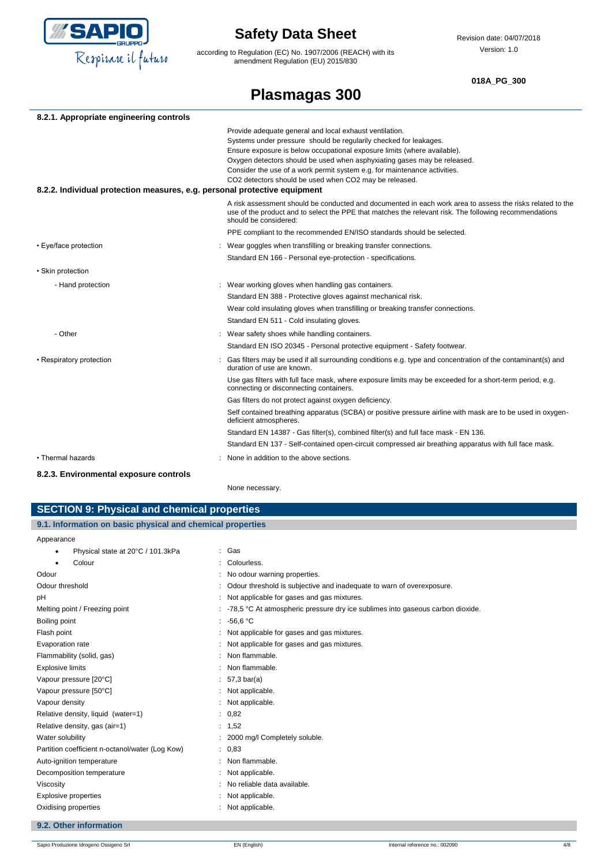

according to Regulation (EC) No. 1907/2006 (REACH) with its amendment Regulation (EU) 2015/830

Revision date: 04/07/2018 Version: 1.0

#### **018A\_PG\_300**

# **Plasmagas 300**

| 8.2.1. Appropriate engineering controls                                   |                                                                                                                                                                                                                                                                                                                                                                                                                             |
|---------------------------------------------------------------------------|-----------------------------------------------------------------------------------------------------------------------------------------------------------------------------------------------------------------------------------------------------------------------------------------------------------------------------------------------------------------------------------------------------------------------------|
| 8.2.2. Individual protection measures, e.g. personal protective equipment | Provide adequate general and local exhaust ventilation.<br>Systems under pressure should be regularily checked for leakages.<br>Ensure exposure is below occupational exposure limits (where available).<br>Oxygen detectors should be used when asphyxiating gases may be released.<br>Consider the use of a work permit system e.g. for maintenance activities.<br>CO2 detectors should be used when CO2 may be released. |
|                                                                           |                                                                                                                                                                                                                                                                                                                                                                                                                             |
|                                                                           | A risk assessment should be conducted and documented in each work area to assess the risks related to the<br>use of the product and to select the PPE that matches the relevant risk. The following recommendations<br>should be considered:                                                                                                                                                                                |
|                                                                           | PPE compliant to the recommended EN/ISO standards should be selected.                                                                                                                                                                                                                                                                                                                                                       |
| • Eye/face protection                                                     | : Wear goggles when transfilling or breaking transfer connections.                                                                                                                                                                                                                                                                                                                                                          |
|                                                                           | Standard EN 166 - Personal eye-protection - specifications.                                                                                                                                                                                                                                                                                                                                                                 |
| • Skin protection                                                         |                                                                                                                                                                                                                                                                                                                                                                                                                             |
| - Hand protection                                                         | : Wear working gloves when handling gas containers.                                                                                                                                                                                                                                                                                                                                                                         |
|                                                                           | Standard EN 388 - Protective gloves against mechanical risk.                                                                                                                                                                                                                                                                                                                                                                |
|                                                                           | Wear cold insulating gloves when transfilling or breaking transfer connections.                                                                                                                                                                                                                                                                                                                                             |
|                                                                           | Standard EN 511 - Cold insulating gloves.                                                                                                                                                                                                                                                                                                                                                                                   |
| - Other                                                                   | : Wear safety shoes while handling containers.                                                                                                                                                                                                                                                                                                                                                                              |
|                                                                           | Standard EN ISO 20345 - Personal protective equipment - Safety footwear.                                                                                                                                                                                                                                                                                                                                                    |
| • Respiratory protection                                                  | Gas filters may be used if all surrounding conditions e.g. type and concentration of the contaminant(s) and<br>duration of use are known.                                                                                                                                                                                                                                                                                   |
|                                                                           | Use gas filters with full face mask, where exposure limits may be exceeded for a short-term period, e.g.<br>connecting or disconnecting containers.                                                                                                                                                                                                                                                                         |
|                                                                           | Gas filters do not protect against oxygen deficiency.                                                                                                                                                                                                                                                                                                                                                                       |
|                                                                           | Self contained breathing apparatus (SCBA) or positive pressure airline with mask are to be used in oxygen-<br>deficient atmospheres.                                                                                                                                                                                                                                                                                        |
|                                                                           | Standard EN 14387 - Gas filter(s), combined filter(s) and full face mask - EN 136.                                                                                                                                                                                                                                                                                                                                          |
|                                                                           | Standard EN 137 - Self-contained open-circuit compressed air breathing apparatus with full face mask.                                                                                                                                                                                                                                                                                                                       |
| • Thermal hazards                                                         | None in addition to the above sections.                                                                                                                                                                                                                                                                                                                                                                                     |
| 8.2.3. Environmental exposure controls                                    |                                                                                                                                                                                                                                                                                                                                                                                                                             |

| None necessary. |
|-----------------|
|                 |

| <b>SECTION 9: Physical and chemical properties</b>         |                                                                                |
|------------------------------------------------------------|--------------------------------------------------------------------------------|
|                                                            |                                                                                |
| 9.1. Information on basic physical and chemical properties |                                                                                |
| Appearance                                                 |                                                                                |
| Physical state at 20°C / 101.3kPa<br>٠                     | : Gas                                                                          |
| Colour<br>٠                                                | Colourless.                                                                    |
| Odour                                                      | No odour warning properties.                                                   |
| Odour threshold                                            | : Odour threshold is subjective and inadequate to warn of overexposure.        |
| рH                                                         | Not applicable for gases and gas mixtures.                                     |
| Melting point / Freezing point                             | -78,5 °C At atmospheric pressure dry ice sublimes into gaseous carbon dioxide. |
| Boiling point                                              | -56,6 °C                                                                       |
| Flash point                                                | : Not applicable for gases and gas mixtures.                                   |
| Evaporation rate                                           | Not applicable for gases and gas mixtures.                                     |
| Flammability (solid, gas)                                  | Non flammable.                                                                 |
| <b>Explosive limits</b>                                    | Non flammable.                                                                 |
| Vapour pressure [20°C]                                     | : $57,3 \text{ bar(a)}$                                                        |
| Vapour pressure [50°C]                                     | Not applicable.                                                                |
| Vapour density                                             | Not applicable.                                                                |
| Relative density, liquid (water=1)                         | : 0,82                                                                         |
| Relative density, gas (air=1)                              | : 1,52                                                                         |
| Water solubility                                           | 2000 mg/l Completely soluble.                                                  |
| Partition coefficient n-octanol/water (Log Kow)            | : 0.83                                                                         |
| Auto-ignition temperature                                  | : Non flammable.                                                               |
| Decomposition temperature                                  | Not applicable.                                                                |
| Viscosity                                                  | No reliable data available.                                                    |
| Explosive properties                                       | Not applicable.                                                                |
| Oxidising properties                                       | : Not applicable.                                                              |

### **9.2. Other information**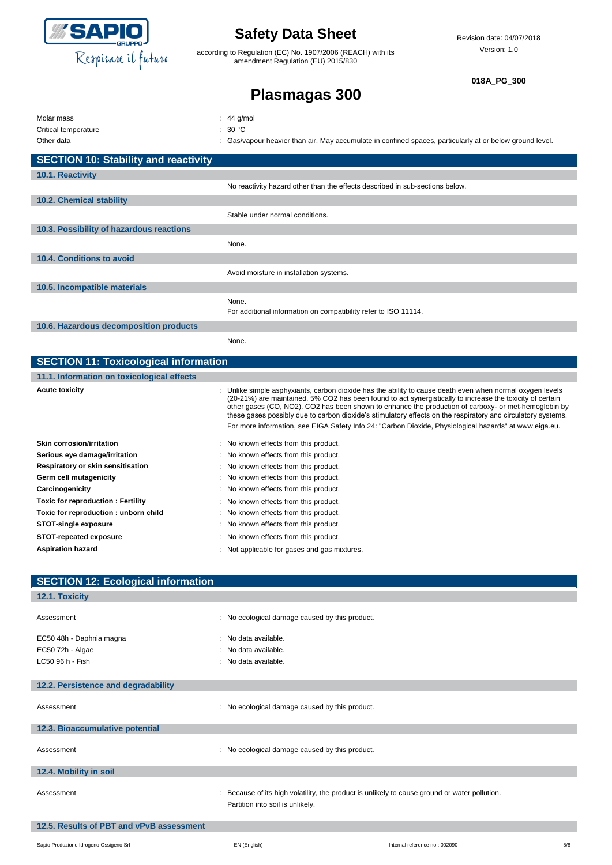

according to Regulation (EC) No. 1907/2006 (REACH) with its amendment Regulation (EU) 2015/830

Revision date: 04/07/2018 Version: 1.0

**018A\_PG\_300**

| Molar mass                                   | $: 44$ g/mol                                                                                                                                                                                                                                                                                                                                                                                                                                 |
|----------------------------------------------|----------------------------------------------------------------------------------------------------------------------------------------------------------------------------------------------------------------------------------------------------------------------------------------------------------------------------------------------------------------------------------------------------------------------------------------------|
| Critical temperature                         | : $30 °C$                                                                                                                                                                                                                                                                                                                                                                                                                                    |
| Other data                                   | Gas/vapour heavier than air. May accumulate in confined spaces, particularly at or below ground level.                                                                                                                                                                                                                                                                                                                                       |
| <b>SECTION 10: Stability and reactivity</b>  |                                                                                                                                                                                                                                                                                                                                                                                                                                              |
| 10.1. Reactivity                             |                                                                                                                                                                                                                                                                                                                                                                                                                                              |
|                                              | No reactivity hazard other than the effects described in sub-sections below.                                                                                                                                                                                                                                                                                                                                                                 |
| 10.2. Chemical stability                     |                                                                                                                                                                                                                                                                                                                                                                                                                                              |
|                                              | Stable under normal conditions.                                                                                                                                                                                                                                                                                                                                                                                                              |
| 10.3. Possibility of hazardous reactions     |                                                                                                                                                                                                                                                                                                                                                                                                                                              |
|                                              | None.                                                                                                                                                                                                                                                                                                                                                                                                                                        |
| 10.4. Conditions to avoid                    |                                                                                                                                                                                                                                                                                                                                                                                                                                              |
|                                              | Avoid moisture in installation systems.                                                                                                                                                                                                                                                                                                                                                                                                      |
| 10.5. Incompatible materials                 |                                                                                                                                                                                                                                                                                                                                                                                                                                              |
|                                              | None.                                                                                                                                                                                                                                                                                                                                                                                                                                        |
|                                              | For additional information on compatibility refer to ISO 11114.                                                                                                                                                                                                                                                                                                                                                                              |
| 10.6. Hazardous decomposition products       |                                                                                                                                                                                                                                                                                                                                                                                                                                              |
|                                              | None.                                                                                                                                                                                                                                                                                                                                                                                                                                        |
| <b>SECTION 11: Toxicological information</b> |                                                                                                                                                                                                                                                                                                                                                                                                                                              |
| 11.1. Information on toxicological effects   |                                                                                                                                                                                                                                                                                                                                                                                                                                              |
| <b>Acute toxicity</b>                        | Unlike simple asphyxiants, carbon dioxide has the ability to cause death even when normal oxygen levels<br>(20-21%) are maintained. 5% CO2 has been found to act synergistically to increase the toxicity of certain<br>other gases (CO, NO2). CO2 has been shown to enhance the production of carboxy- or met-hemoglobin by<br>these gases possibly due to carbon dioxide's stimulatory effects on the respiratory and circulatory systems. |
|                                              | For more information, see EIGA Safety Info 24: "Carbon Dioxide, Physiological hazards" at www.eiga.eu.                                                                                                                                                                                                                                                                                                                                       |
| Skin corrosion/irritation                    | : No known effects from this product.                                                                                                                                                                                                                                                                                                                                                                                                        |
| Serious eye damage/irritation                | No known effects from this product.                                                                                                                                                                                                                                                                                                                                                                                                          |
|                                              |                                                                                                                                                                                                                                                                                                                                                                                                                                              |

| Respiratory or skin sensitisation    | : No known effects from this product.        |
|--------------------------------------|----------------------------------------------|
| Germ cell mutagenicity               | : No known effects from this product.        |
| Carcinogenicity                      | : No known effects from this product.        |
| Toxic for reproduction : Fertility   | : No known effects from this product.        |
| Toxic for reproduction: unborn child | : No known effects from this product.        |
| <b>STOT-single exposure</b>          | : No known effects from this product.        |
| <b>STOT-repeated exposure</b>        | : No known effects from this product.        |
| Aspiration hazard                    | : Not applicable for gases and gas mixtures. |

| <b>SECTION 12: Ecological information</b> |                                                                                                                                   |
|-------------------------------------------|-----------------------------------------------------------------------------------------------------------------------------------|
| 12.1. Toxicity                            |                                                                                                                                   |
|                                           |                                                                                                                                   |
| Assessment                                | : No ecological damage caused by this product.                                                                                    |
| EC50 48h - Daphnia magna                  | : No data available.                                                                                                              |
| EC50 72h - Algae                          | : No data available.                                                                                                              |
| LC50 96 h - Fish                          | : No data available.                                                                                                              |
|                                           |                                                                                                                                   |
| 12.2. Persistence and degradability       |                                                                                                                                   |
| Assessment                                | : No ecological damage caused by this product.                                                                                    |
| 12.3. Bioaccumulative potential           |                                                                                                                                   |
| Assessment                                | : No ecological damage caused by this product.                                                                                    |
| 12.4. Mobility in soil                    |                                                                                                                                   |
| Assessment                                | : Because of its high volatility, the product is unlikely to cause ground or water pollution.<br>Partition into soil is unlikely. |
| 12.5. Results of PBT and vPvB assessment  |                                                                                                                                   |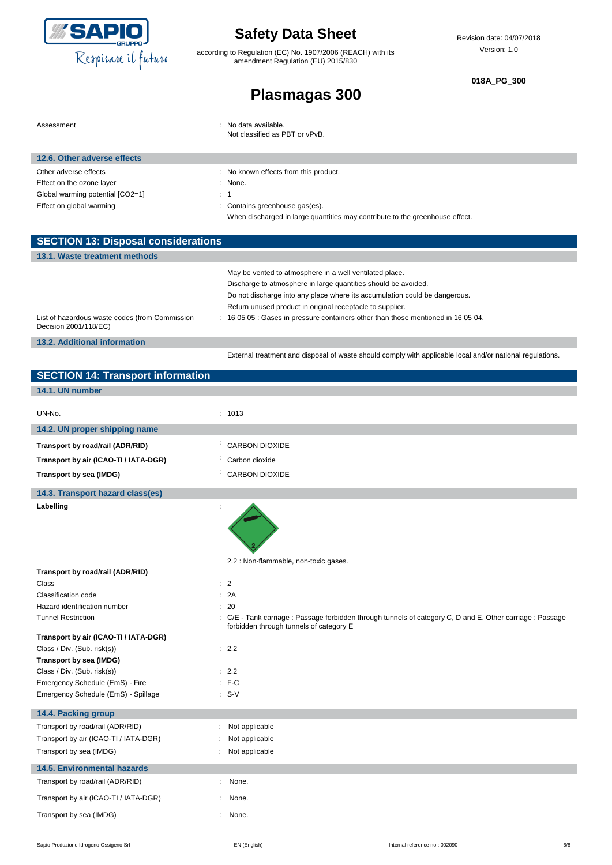

according to Regulation (EC) No. 1907/2006 (REACH) with its amendment Regulation (EU) 2015/830

**018A\_PG\_300**

| Assessment                                                              | : No data available.<br>Not classified as PBT or vPvB.                                                    |
|-------------------------------------------------------------------------|-----------------------------------------------------------------------------------------------------------|
| 12.6. Other adverse effects                                             |                                                                                                           |
| Other adverse effects                                                   | : No known effects from this product.                                                                     |
| Effect on the ozone layer                                               | : None.                                                                                                   |
| Global warming potential [CO2=1]                                        | $\therefore$ 1                                                                                            |
| Effect on global warming                                                | Contains greenhouse gas(es).                                                                              |
|                                                                         | When discharged in large quantities may contribute to the greenhouse effect.                              |
|                                                                         |                                                                                                           |
| <b>SECTION 13: Disposal considerations</b>                              |                                                                                                           |
| 13.1. Waste treatment methods                                           |                                                                                                           |
|                                                                         | May be vented to atmosphere in a well ventilated place.                                                   |
|                                                                         | Discharge to atmosphere in large quantities should be avoided.                                            |
|                                                                         | Do not discharge into any place where its accumulation could be dangerous.                                |
|                                                                         | Return unused product in original receptacle to supplier.                                                 |
| List of hazardous waste codes (from Commission<br>Decision 2001/118/EC) | : 16 05 05 : Gases in pressure containers other than those mentioned in 16 05 04.                         |
| <b>13.2. Additional information</b>                                     |                                                                                                           |
|                                                                         | External treatment and disposal of waste should comply with applicable local and/or national regulations. |
| <b>SECTION 14: Transport information</b>                                |                                                                                                           |

| <b>SLCTION T4. Hansport Information</b> |                                                                                                                                                       |
|-----------------------------------------|-------------------------------------------------------------------------------------------------------------------------------------------------------|
| 14.1. UN number                         |                                                                                                                                                       |
|                                         |                                                                                                                                                       |
| UN-No.                                  | : 1013                                                                                                                                                |
| 14.2. UN proper shipping name           |                                                                                                                                                       |
| Transport by road/rail (ADR/RID)        | <b>CARBON DIOXIDE</b><br>÷                                                                                                                            |
| Transport by air (ICAO-TI / IATA-DGR)   | Carbon dioxide                                                                                                                                        |
| Transport by sea (IMDG)                 | <b>CARBON DIOXIDE</b>                                                                                                                                 |
| 14.3. Transport hazard class(es)        |                                                                                                                                                       |
| Labelling                               |                                                                                                                                                       |
| Transport by road/rail (ADR/RID)        | 2.2 : Non-flammable, non-toxic gases.                                                                                                                 |
| Class                                   | : 2                                                                                                                                                   |
| Classification code                     | : 2A                                                                                                                                                  |
| Hazard identification number            | : 20                                                                                                                                                  |
| <b>Tunnel Restriction</b>               | : C/E - Tank carriage : Passage forbidden through tunnels of category C, D and E. Other carriage : Passage<br>forbidden through tunnels of category E |
| Transport by air (ICAO-TI / IATA-DGR)   |                                                                                                                                                       |
| Class / Div. (Sub. risk(s))             | : 2.2                                                                                                                                                 |
| Transport by sea (IMDG)                 |                                                                                                                                                       |
| Class / Div. (Sub. risk(s))             | : 2.2                                                                                                                                                 |
| Emergency Schedule (EmS) - Fire         | $F-C$                                                                                                                                                 |
| Emergency Schedule (EmS) - Spillage     | $: S-V$                                                                                                                                               |
| 14.4. Packing group                     |                                                                                                                                                       |
| Transport by road/rail (ADR/RID)        | Not applicable                                                                                                                                        |
| Transport by air (ICAO-TI / IATA-DGR)   | Not applicable                                                                                                                                        |
| Transport by sea (IMDG)                 | Not applicable                                                                                                                                        |
| <b>14.5. Environmental hazards</b>      |                                                                                                                                                       |
| Transport by road/rail (ADR/RID)        | : None.                                                                                                                                               |
| Transport by air (ICAO-TI / IATA-DGR)   | None.                                                                                                                                                 |
| Transport by sea (IMDG)                 | None.                                                                                                                                                 |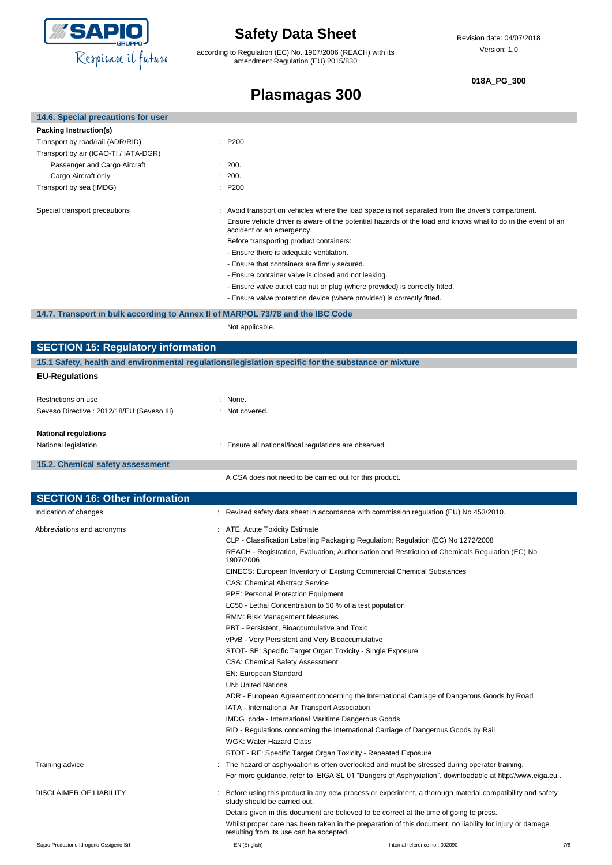

I

i,

## **Safety Data Sheet**

according to Regulation (EC) No. 1907/2006 (REACH) with its amendment Regulation (EU) 2015/830

### **018A\_PG\_300**

| 14.6. Special precautions for user                                             |                                                                                                                                          |  |
|--------------------------------------------------------------------------------|------------------------------------------------------------------------------------------------------------------------------------------|--|
| Packing Instruction(s)                                                         |                                                                                                                                          |  |
| Transport by road/rail (ADR/RID)                                               | : P200                                                                                                                                   |  |
| Transport by air (ICAO-TI / IATA-DGR)                                          |                                                                                                                                          |  |
| Passenger and Cargo Aircraft                                                   | : 200.                                                                                                                                   |  |
| Cargo Aircraft only                                                            | : 200.                                                                                                                                   |  |
| Transport by sea (IMDG)                                                        | : P200                                                                                                                                   |  |
| Special transport precautions                                                  | : Avoid transport on vehicles where the load space is not separated from the driver's compartment.                                       |  |
|                                                                                | Ensure vehicle driver is aware of the potential hazards of the load and knows what to do in the event of an<br>accident or an emergency. |  |
|                                                                                | Before transporting product containers:                                                                                                  |  |
|                                                                                | - Ensure there is adequate ventilation.                                                                                                  |  |
|                                                                                | - Ensure that containers are firmly secured.                                                                                             |  |
|                                                                                | - Ensure container valve is closed and not leaking.                                                                                      |  |
|                                                                                | - Ensure valve outlet cap nut or plug (where provided) is correctly fitted.                                                              |  |
|                                                                                | - Ensure valve protection device (where provided) is correctly fitted.                                                                   |  |
| 14.7. Transport in bulk according to Annex II of MARPOL 73/78 and the IBC Code |                                                                                                                                          |  |
|                                                                                | Not applicable.                                                                                                                          |  |

| <b>SECTION 15: Regulatory information</b>                                                           |  |                                                                                                                                                     |  |  |
|-----------------------------------------------------------------------------------------------------|--|-----------------------------------------------------------------------------------------------------------------------------------------------------|--|--|
| 15.1 Safety, health and environmental regulations/legislation specific for the substance or mixture |  |                                                                                                                                                     |  |  |
| <b>EU-Regulations</b>                                                                               |  |                                                                                                                                                     |  |  |
|                                                                                                     |  |                                                                                                                                                     |  |  |
| Restrictions on use                                                                                 |  | : None.                                                                                                                                             |  |  |
| Seveso Directive : 2012/18/EU (Seveso III)                                                          |  | : Not covered.                                                                                                                                      |  |  |
| <b>National regulations</b>                                                                         |  |                                                                                                                                                     |  |  |
| National legislation                                                                                |  | : Ensure all national/local regulations are observed.                                                                                               |  |  |
|                                                                                                     |  |                                                                                                                                                     |  |  |
| 15.2. Chemical safety assessment                                                                    |  |                                                                                                                                                     |  |  |
|                                                                                                     |  | A CSA does not need to be carried out for this product.                                                                                             |  |  |
| <b>SECTION 16: Other information</b>                                                                |  |                                                                                                                                                     |  |  |
| Indication of changes                                                                               |  | Revised safety data sheet in accordance with commission regulation (EU) No 453/2010.                                                                |  |  |
|                                                                                                     |  |                                                                                                                                                     |  |  |
| Abbreviations and acronyms                                                                          |  | : ATE: Acute Toxicity Estimate                                                                                                                      |  |  |
|                                                                                                     |  | CLP - Classification Labelling Packaging Regulation; Regulation (EC) No 1272/2008                                                                   |  |  |
|                                                                                                     |  | REACH - Registration, Evaluation, Authorisation and Restriction of Chemicals Regulation (EC) No<br>1907/2006                                        |  |  |
|                                                                                                     |  | EINECS: European Inventory of Existing Commercial Chemical Substances                                                                               |  |  |
|                                                                                                     |  | <b>CAS: Chemical Abstract Service</b>                                                                                                               |  |  |
|                                                                                                     |  | <b>PPE: Personal Protection Equipment</b>                                                                                                           |  |  |
|                                                                                                     |  | LC50 - Lethal Concentration to 50 % of a test population                                                                                            |  |  |
|                                                                                                     |  | RMM: Risk Management Measures                                                                                                                       |  |  |
|                                                                                                     |  | PBT - Persistent, Bioaccumulative and Toxic                                                                                                         |  |  |
|                                                                                                     |  | vPvB - Very Persistent and Very Bioaccumulative                                                                                                     |  |  |
|                                                                                                     |  | STOT- SE: Specific Target Organ Toxicity - Single Exposure                                                                                          |  |  |
|                                                                                                     |  | CSA: Chemical Safety Assessment                                                                                                                     |  |  |
|                                                                                                     |  | EN: European Standard                                                                                                                               |  |  |
|                                                                                                     |  | <b>UN: United Nations</b>                                                                                                                           |  |  |
|                                                                                                     |  | ADR - European Agreement concerning the International Carriage of Dangerous Goods by Road                                                           |  |  |
|                                                                                                     |  | IATA - International Air Transport Association                                                                                                      |  |  |
|                                                                                                     |  | IMDG code - International Maritime Dangerous Goods                                                                                                  |  |  |
|                                                                                                     |  | RID - Regulations concerning the International Carriage of Dangerous Goods by Rail                                                                  |  |  |
|                                                                                                     |  | <b>WGK: Water Hazard Class</b>                                                                                                                      |  |  |
|                                                                                                     |  | STOT - RE: Specific Target Organ Toxicity - Repeated Exposure                                                                                       |  |  |
| Training advice                                                                                     |  | The hazard of asphyxiation is often overlooked and must be stressed during operator training.                                                       |  |  |
|                                                                                                     |  | For more guidance, refer to EIGA SL 01 "Dangers of Asphyxiation", downloadable at http://www.eiga.eu                                                |  |  |
| DISCLAIMER OF LIABILITY                                                                             |  | Before using this product in any new process or experiment, a thorough material compatibility and safety<br>study should be carried out.            |  |  |
|                                                                                                     |  | Details given in this document are believed to be correct at the time of going to press.                                                            |  |  |
|                                                                                                     |  | Whilst proper care has been taken in the preparation of this document, no liability for injury or damage<br>resulting from its use can be accepted. |  |  |
| Sapio Produzione Idrogeno Ossigeno Srl                                                              |  | EN (English)<br>Internal reference no.: 002090<br>7/8                                                                                               |  |  |